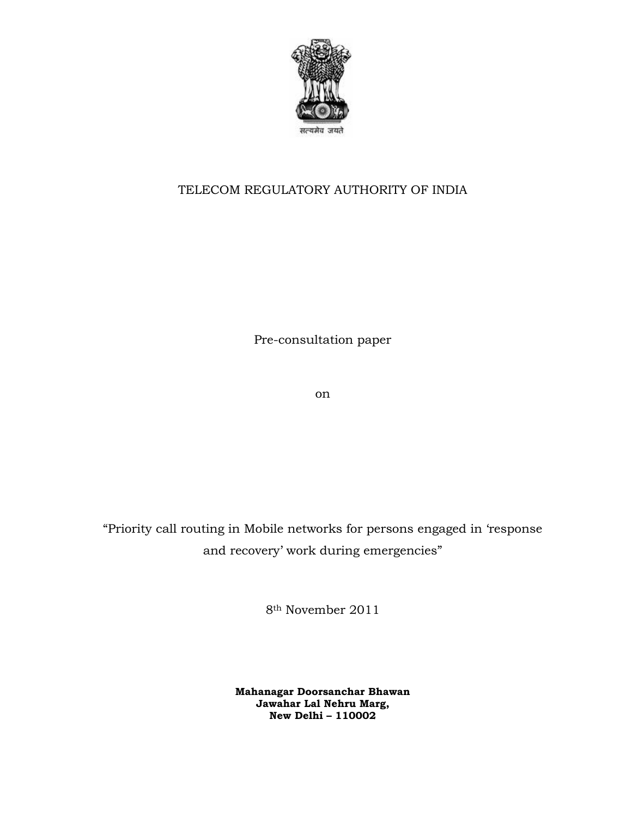

## TELECOM REGULATORY AUTHORITY OF INDIA

Pre-consultation paper

on

"Priority call routing in Mobile networks for persons engaged in 'response and recovery' work during emergencies"

8th November 2011

**Mahanagar Doorsanchar Bhawan Jawahar Lal Nehru Marg, New Delhi – 110002**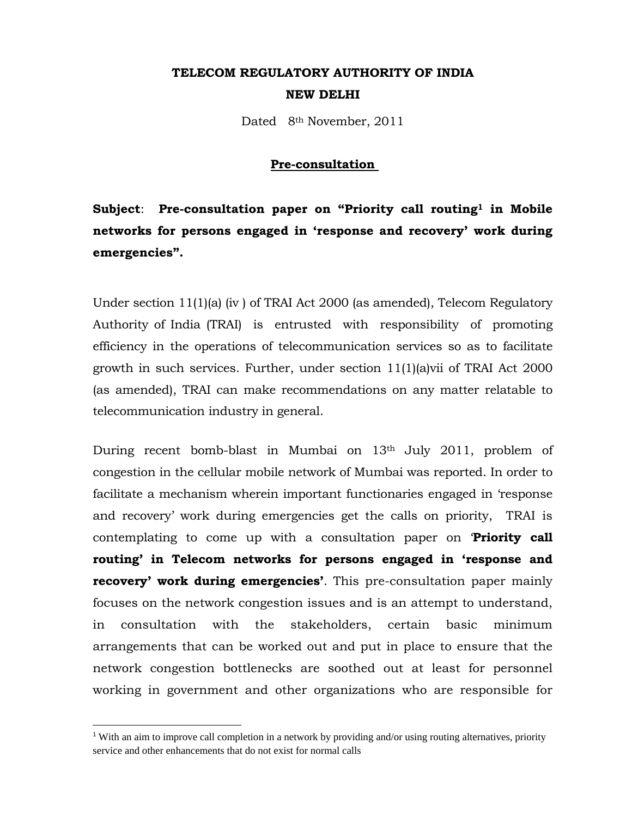# **TELECOM REGULATORY AUTHORITY OF INDIA NEW DELHI**

Dated 8<sup>th</sup> November, 2011

### **Pre-consultation**

Subject: Pre-consultation paper on "Priority call routing<sup>1</sup> in Mobile **networks for persons engaged in 'response and recovery' work during emergencies".** 

Under section 11(1)(a) (iv ) of TRAI Act 2000 (as amended), Telecom Regulatory Authority of India (TRAI) is entrusted with responsibility of promoting efficiency in the operations of telecommunication services so as to facilitate growth in such services. Further, under section 11(1)(a)vii of TRAI Act 2000 (as amended), TRAI can make recommendations on any matter relatable to telecommunication industry in general.

During recent bomb-blast in Mumbai on 13<sup>th</sup> July 2011, problem of congestion in the cellular mobile network of Mumbai was reported. In order to facilitate a mechanism wherein important functionaries engaged in 'response and recovery' work during emergencies get the calls on priority, TRAI is contemplating to come up with a consultation paper on '**Priority call routing' in Telecom networks for persons engaged in 'response and recovery' work during emergencies'**. This pre-consultation paper mainly focuses on the network congestion issues and is an attempt to understand, in consultation with the stakeholders, certain basic minimum arrangements that can be worked out and put in place to ensure that the network congestion bottlenecks are soothed out at least for personnel working in government and other organizations who are responsible for

<sup>&</sup>lt;sup>1</sup> With an aim to improve call completion in a network by providing and/or using routing alternatives, priority service and other enhancements that do not exist for normal calls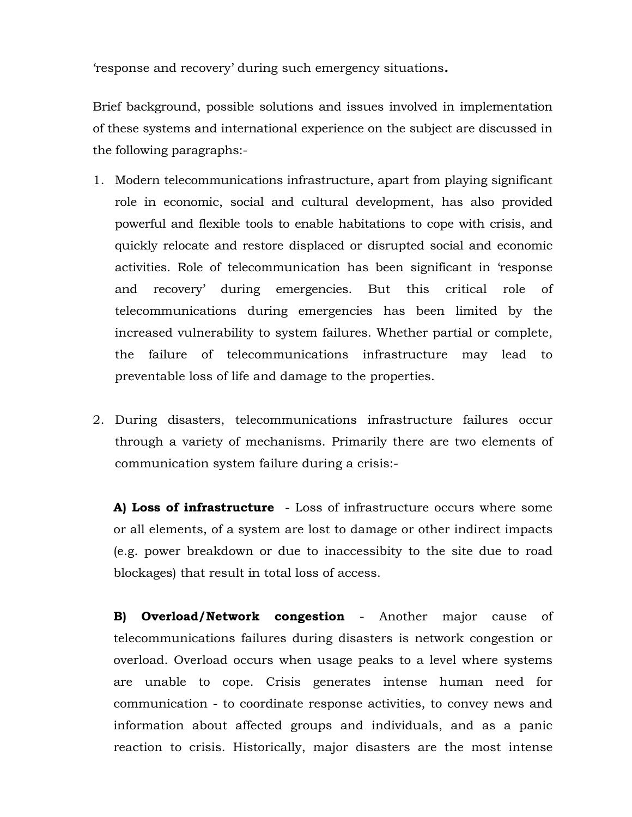'response and recovery' during such emergency situations*.*

Brief background, possible solutions and issues involved in implementation of these systems and international experience on the subject are discussed in the following paragraphs:-

- 1. Modern telecommunications infrastructure, apart from playing significant role in economic, social and cultural development, has also provided powerful and flexible tools to enable habitations to cope with crisis, and quickly relocate and restore displaced or disrupted social and economic activities. Role of telecommunication has been significant in 'response and recovery' during emergencies. But this critical role of telecommunications during emergencies has been limited by the increased vulnerability to system failures. Whether partial or complete, the failure of telecommunications infrastructure may lead to preventable loss of life and damage to the properties.
- 2. During disasters, telecommunications infrastructure failures occur through a variety of mechanisms. Primarily there are two elements of communication system failure during a crisis:-

**A) Loss of infrastructure** - Loss of infrastructure occurs where some or all elements, of a system are lost to damage or other indirect impacts (e.g. power breakdown or due to inaccessibity to the site due to road blockages) that result in total loss of access.

**B) Overload/Network congestion** - Another major cause of telecommunications failures during disasters is network congestion or overload. Overload occurs when usage peaks to a level where systems are unable to cope. Crisis generates intense human need for communication - to coordinate response activities, to convey news and information about affected groups and individuals, and as a panic reaction to crisis. Historically, major disasters are the most intense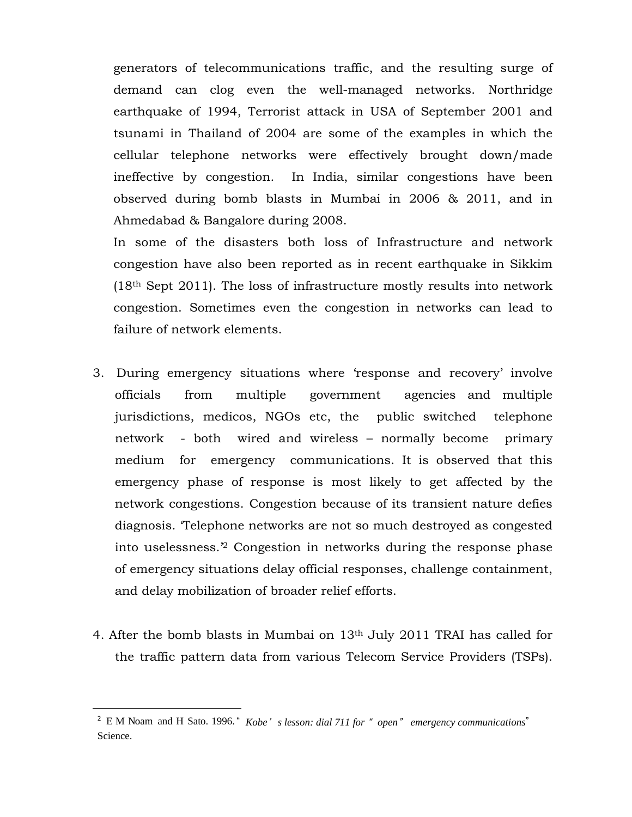generators of telecommunications traffic, and the resulting surge of demand can clog even the well-managed networks. Northridge earthquake of 1994, Terrorist attack in USA of September 2001 and tsunami in Thailand of 2004 are some of the examples in which the cellular telephone networks were effectively brought down/made ineffective by congestion. In India, similar congestions have been observed during bomb blasts in Mumbai in 2006 & 2011, and in Ahmedabad & Bangalore during 2008.

In some of the disasters both loss of Infrastructure and network congestion have also been reported as in recent earthquake in Sikkim (18th Sept 2011). The loss of infrastructure mostly results into network congestion. Sometimes even the congestion in networks can lead to failure of network elements.

- 3. During emergency situations where 'response and recovery' involve officials from multiple government agencies and multiple jurisdictions, medicos, NGOs etc, the public switched telephone network - both wired and wireless – normally become primary medium for emergency communications. It is observed that this emergency phase of response is most likely to get affected by the network congestions. Congestion because of its transient nature defies diagnosis. 'Telephone networks are not so much destroyed as congested into uselessness.'2 Congestion in networks during the response phase of emergency situations delay official responses, challenge containment, and delay mobilization of broader relief efforts.
- 4. After the bomb blasts in Mumbai on 13th July 2011 TRAI has called for the traffic pattern data from various Telecom Service Providers (TSPs).

<sup>2</sup> E M Noam and H Sato. 1996. " *Kobe*' *s lesson: dial 711 for* " *open*" *emergency communications*" Science.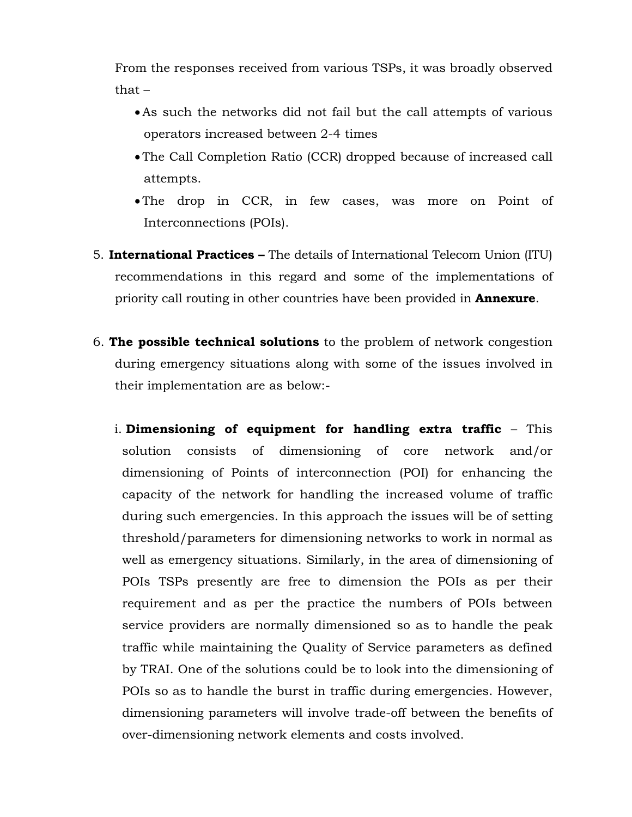From the responses received from various TSPs, it was broadly observed that –

- •As such the networks did not fail but the call attempts of various operators increased between 2-4 times
- The Call Completion Ratio (CCR) dropped because of increased call attempts.
- The drop in CCR, in few cases, was more on Point of Interconnections (POIs).
- 5. **International Practices –** The details of International Telecom Union (ITU) recommendations in this regard and some of the implementations of priority call routing in other countries have been provided in **Annexure**.
- 6. **The possible technical solutions** to the problem of network congestion during emergency situations along with some of the issues involved in their implementation are as below:
	- i. **Dimensioning of equipment for handling extra traffic** This solution consists of dimensioning of core network and/or dimensioning of Points of interconnection (POI) for enhancing the capacity of the network for handling the increased volume of traffic during such emergencies. In this approach the issues will be of setting threshold/parameters for dimensioning networks to work in normal as well as emergency situations. Similarly, in the area of dimensioning of POIs TSPs presently are free to dimension the POIs as per their requirement and as per the practice the numbers of POIs between service providers are normally dimensioned so as to handle the peak traffic while maintaining the Quality of Service parameters as defined by TRAI. One of the solutions could be to look into the dimensioning of POIs so as to handle the burst in traffic during emergencies. However, dimensioning parameters will involve trade-off between the benefits of over-dimensioning network elements and costs involved.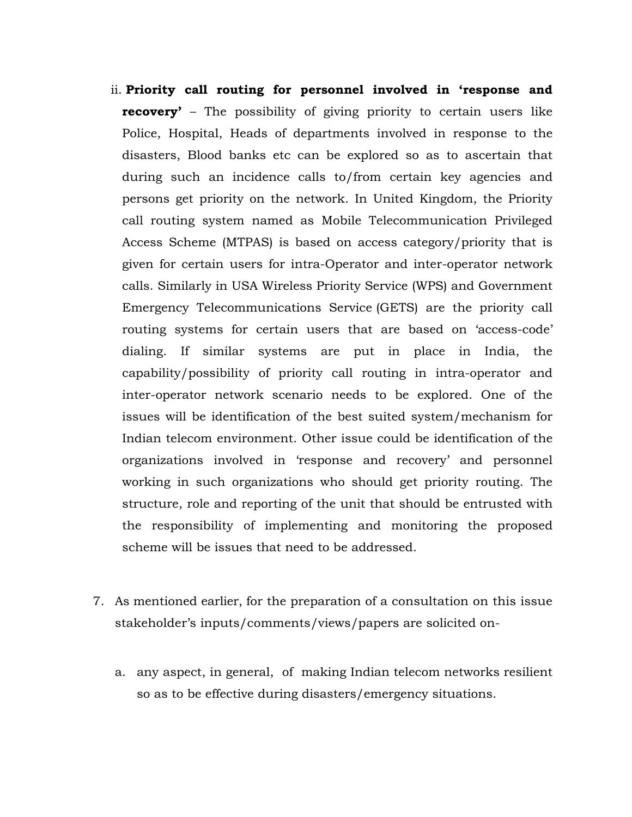- ii. **Priority call routing for personnel involved in 'response and recovery'** – The possibility of giving priority to certain users like Police, Hospital, Heads of departments involved in response to the disasters, Blood banks etc can be explored so as to ascertain that during such an incidence calls to/from certain key agencies and persons get priority on the network. In United Kingdom, the Priority call routing system named as Mobile Telecommunication Privileged Access Scheme (MTPAS) is based on access category/priority that is given for certain users for intra-Operator and inter-operator network calls. Similarly in USA Wireless Priority Service (WPS) and Government Emergency Telecommunications Service (GETS) are the priority call routing systems for certain users that are based on 'access-code' dialing. If similar systems are put in place in India, the capability/possibility of priority call routing in intra-operator and inter-operator network scenario needs to be explored. One of the issues will be identification of the best suited system/mechanism for Indian telecom environment. Other issue could be identification of the organizations involved in 'response and recovery' and personnel working in such organizations who should get priority routing. The structure, role and reporting of the unit that should be entrusted with the responsibility of implementing and monitoring the proposed scheme will be issues that need to be addressed.
- 7. As mentioned earlier, for the preparation of a consultation on this issue stakeholder's inputs/comments/views/papers are solicited on
	- a. any aspect, in general, of making Indian telecom networks resilient so as to be effective during disasters/emergency situations.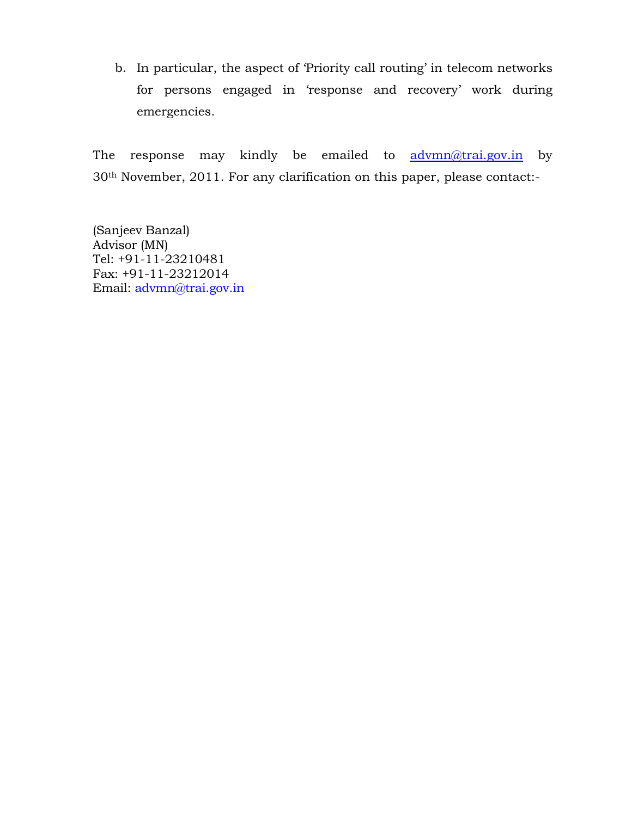b. In particular, the aspect of 'Priority call routing' in telecom networks for persons engaged in 'response and recovery' work during emergencies.

The response may kindly be emailed to advmn@trai.gov.in by 30th November, 2011. For any clarification on this paper, please contact:-

(Sanjeev Banzal) Advisor (MN) Tel: +91-11-23210481 Fax: +91-11-23212014 Email: advmn@trai.gov.in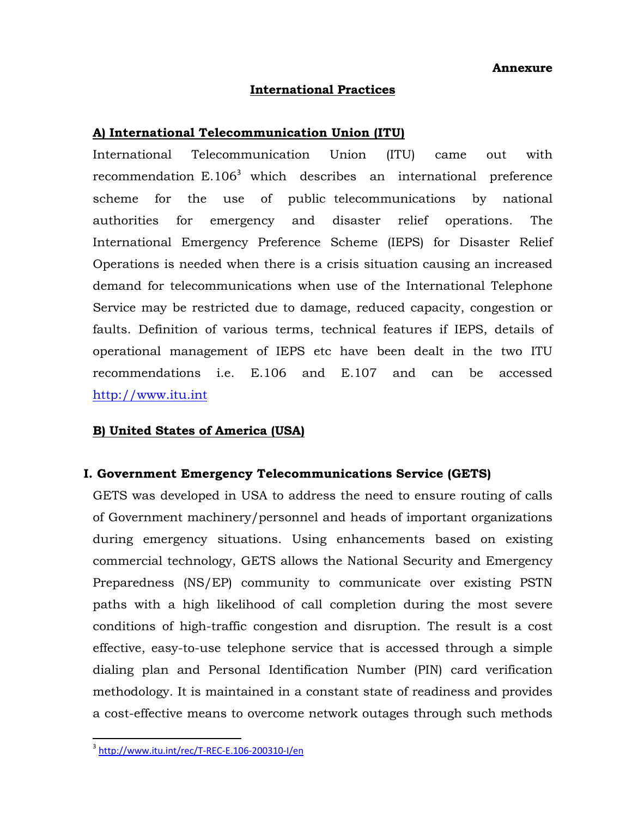**Annexure** 

#### **International Practices**

### **A) International Telecommunication Union (ITU)**

International Telecommunication Union (ITU) came out with recommendation  $E.106<sup>3</sup>$  which describes an international preference scheme for the use of public telecommunications by national authorities for emergency and disaster relief operations. The International Emergency Preference Scheme (IEPS) for Disaster Relief Operations is needed when there is a crisis situation causing an increased demand for telecommunications when use of the International Telephone Service may be restricted due to damage, reduced capacity, congestion or faults. Definition of various terms, technical features if IEPS, details of operational management of IEPS etc have been dealt in the two ITU recommendations i.e. E.106 and E.107 and can be accessed http://www.itu.int

## **B) United States of America (USA)**

### **I. Government Emergency Telecommunications Service (GETS)**

GETS was developed in USA to address the need to ensure routing of calls of Government machinery/personnel and heads of important organizations during emergency situations. Using enhancements based on existing commercial technology, GETS allows the National Security and Emergency Preparedness (NS/EP) community to communicate over existing PSTN paths with a high likelihood of call completion during the most severe conditions of high-traffic congestion and disruption. The result is a cost effective, easy-to-use telephone service that is accessed through a simple dialing plan and Personal Identification Number (PIN) card verification methodology. It is maintained in a constant state of readiness and provides a cost-effective means to overcome network outages through such methods

<sup>3</sup> http://www.itu.int/rec/T-REC-E.106-200310-I/en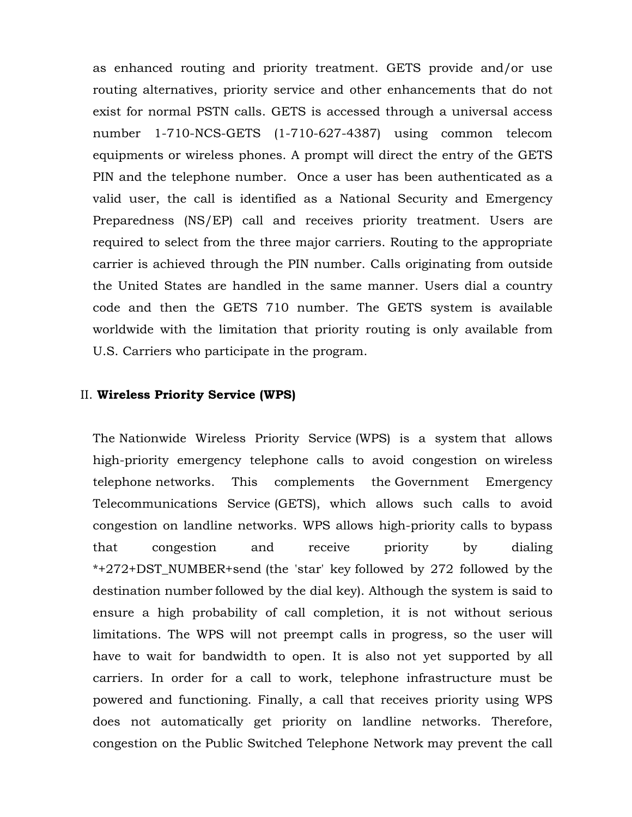as enhanced routing and priority treatment. GETS provide and/or use routing alternatives, priority service and other enhancements that do not exist for normal PSTN calls. GETS is accessed through a universal access number 1-710-NCS-GETS (1-710-627-4387) using common telecom equipments or wireless phones. A prompt will direct the entry of the GETS PIN and the telephone number. Once a user has been authenticated as a valid user, the call is identified as a National Security and Emergency Preparedness (NS/EP) call and receives priority treatment. Users are required to select from the three major carriers. Routing to the appropriate carrier is achieved through the PIN number. Calls originating from outside the United States are handled in the same manner. Users dial a country code and then the GETS 710 number. The GETS system is available worldwide with the limitation that priority routing is only available from U.S. Carriers who participate in the program.

#### II. **Wireless Priority Service (WPS)**

The Nationwide Wireless Priority Service (WPS) is a system that allows high-priority emergency telephone calls to avoid congestion on wireless telephone networks. This complements the Government Emergency Telecommunications Service (GETS), which allows such calls to avoid congestion on landline networks. WPS allows high-priority calls to bypass that congestion and receive priority by dialing \*+272+DST\_NUMBER+send (the 'star' key followed by 272 followed by the destination number followed by the dial key). Although the system is said to ensure a high probability of call completion, it is not without serious limitations. The WPS will not preempt calls in progress, so the user will have to wait for bandwidth to open. It is also not yet supported by all carriers. In order for a call to work, telephone infrastructure must be powered and functioning. Finally, a call that receives priority using WPS does not automatically get priority on landline networks. Therefore, congestion on the Public Switched Telephone Network may prevent the call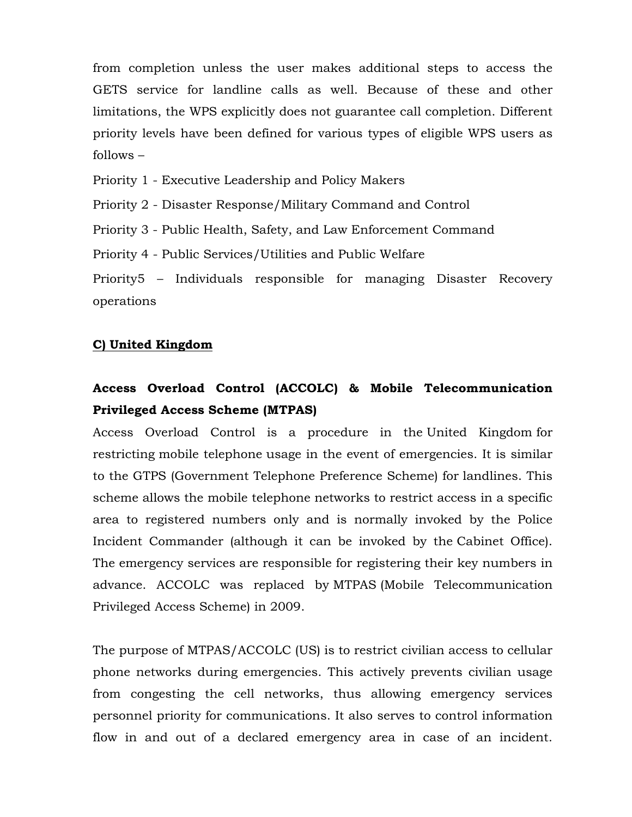from completion unless the user makes additional steps to access the GETS service for landline calls as well. Because of these and other limitations, the WPS explicitly does not guarantee call completion. Different priority levels have been defined for various types of eligible WPS users as follows –

Priority 1 - Executive Leadership and Policy Makers

Priority 2 - Disaster Response/Military Command and Control

Priority 3 - Public Health, Safety, and Law Enforcement Command

Priority 4 - Public Services/Utilities and Public Welfare

Priority5 – Individuals responsible for managing Disaster Recovery operations

## **C) United Kingdom**

# **Access Overload Control (ACCOLC) & Mobile Telecommunication Privileged Access Scheme (MTPAS)**

Access Overload Control is a procedure in the United Kingdom for restricting mobile telephone usage in the event of emergencies. It is similar to the GTPS (Government Telephone Preference Scheme) for landlines. This scheme allows the mobile telephone networks to restrict access in a specific area to registered numbers only and is normally invoked by the Police Incident Commander (although it can be invoked by the Cabinet Office). The emergency services are responsible for registering their key numbers in advance. ACCOLC was replaced by MTPAS (Mobile Telecommunication Privileged Access Scheme) in 2009.

The purpose of MTPAS/ACCOLC (US) is to restrict civilian access to cellular phone networks during emergencies. This actively prevents civilian usage from congesting the cell networks, thus allowing emergency services personnel priority for communications. It also serves to control information flow in and out of a declared emergency area in case of an incident.